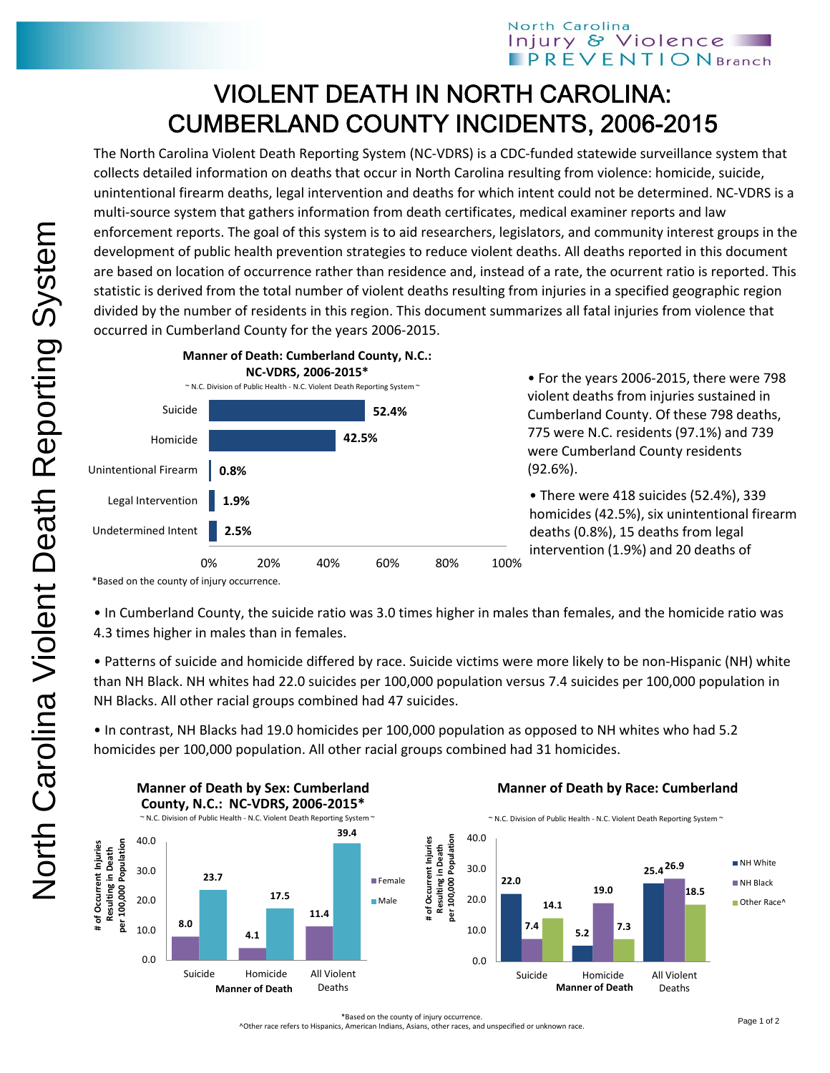## North Carolina Injury & Violence **PREVENTIONBranch**

## VIOLENT DEATH IN NORTH CAROLINA: CUMBERLAND COUNTY INCIDENTS, 2006-2015

The North Carolina Violent Death Reporting System (NC‐VDRS) is a CDC‐funded statewide surveillance system that collects detailed information on deaths that occur in North Carolina resulting from violence: homicide, suicide, unintentional firearm deaths, legal intervention and deaths for which intent could not be determined. NC‐VDRS is a multi-source system that gathers information from death certificates, medical examiner reports and law enforcement reports. The goal of this system is to aid researchers, legislators, and community interest groups in the development of public health prevention strategies to reduce violent deaths. All deaths reported in this document are based on location of occurrence rather than residence and, instead of a rate, the ocurrent ratio is reported. This statistic is derived from the total number of violent deaths resulting from injuries in a specified geographic region divided by the number of residents in this region. This document summarizes all fatal injuries from violence that occurred in Cumberland County for the years 2006‐2015.



• For the years 2006‐2015, there were 798 violent deaths from injuries sustained in Cumberland County. Of these 798 deaths, 775 were N.C. residents (97.1%) and 739 were Cumberland County residents (92.6%).

• There were 418 suicides (52.4%), 339 homicides (42.5%), six unintentional firearm deaths (0.8%), 15 deaths from legal intervention (1.9%) and 20 deaths of

\*Based on the county of injury occurrence.

• In Cumberland County, the suicide ratio was 3.0 times higher in males than females, and the homicide ratio was 4.3 times higher in males than in females.

• Patterns of suicide and homicide differed by race. Suicide victims were more likely to be non‐Hispanic (NH) white than NH Black. NH whites had 22.0 suicides per 100,000 population versus 7.4 suicides per 100,000 population in NH Blacks. All other racial groups combined had 47 suicides.

• In contrast, NH Blacks had 19.0 homicides per 100,000 population as opposed to NH whites who had 5.2 homicides per 100,000 population. All other racial groups combined had 31 homicides.



## **Manner of Death by Race: Cumberland**



\*Based on the county of injury occurrence.

^Other race refers to Hispanics, American Indians, Asians, other races, and unspecified or unknown race.